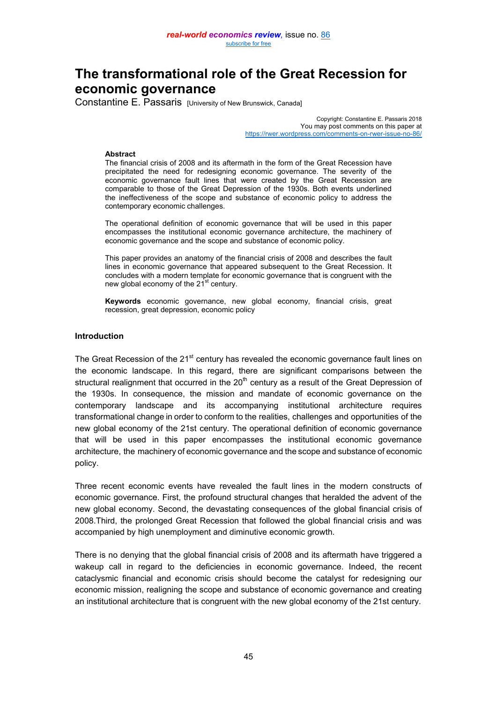# **The transformational role of the Great Recession for economic governance**

Constantine E. Passaris [University of New Brunswick, Canada]

Copyright: Constantine E. Passaris 2018 You may post comments on this paper at <https://rwer.wordpress.com/comments-on-rwer-issue-no-86/>

#### **Abstract**

The financial crisis of 2008 and its aftermath in the form of the Great Recession have precipitated the need for redesigning economic governance. The severity of the economic governance fault lines that were created by the Great Recession are comparable to those of the Great Depression of the 1930s. Both events underlined the ineffectiveness of the scope and substance of economic policy to address the contemporary economic challenges.

The operational definition of economic governance that will be used in this paper encompasses the institutional economic governance architecture, the machinery of economic governance and the scope and substance of economic policy.

This paper provides an anatomy of the financial crisis of 2008 and describes the fault lines in economic governance that appeared subsequent to the Great Recession. It concludes with a modern template for economic governance that is congruent with the new global economy of the 21<sup>st</sup> century.

**Keywords** economic governance, new global economy, financial crisis, great recession, great depression, economic policy

## **Introduction**

The Great Recession of the 21<sup>st</sup> century has revealed the economic governance fault lines on the economic landscape. In this regard, there are significant comparisons between the structural realignment that occurred in the  $20<sup>th</sup>$  century as a result of the Great Depression of the 1930s. In consequence, the mission and mandate of economic governance on the contemporary landscape and its accompanying institutional architecture requires transformational change in order to conform to the realities, challenges and opportunities of the new global economy of the 21st century. The operational definition of economic governance that will be used in this paper encompasses the institutional economic governance architecture, the machinery of economic governance and the scope and substance of economic policy.

Three recent economic events have revealed the fault lines in the modern constructs of economic governance. First, the profound structural changes that heralded the advent of the new global economy. Second, the devastating consequences of the global financial crisis of 2008.Third, the prolonged Great Recession that followed the global financial crisis and was accompanied by high unemployment and diminutive economic growth.

There is no denying that the global financial crisis of 2008 and its aftermath have triggered a wakeup call in regard to the deficiencies in economic governance. Indeed, the recent cataclysmic financial and economic crisis should become the catalyst for redesigning our economic mission, realigning the scope and substance of economic governance and creating an institutional architecture that is congruent with the new global economy of the 21st century.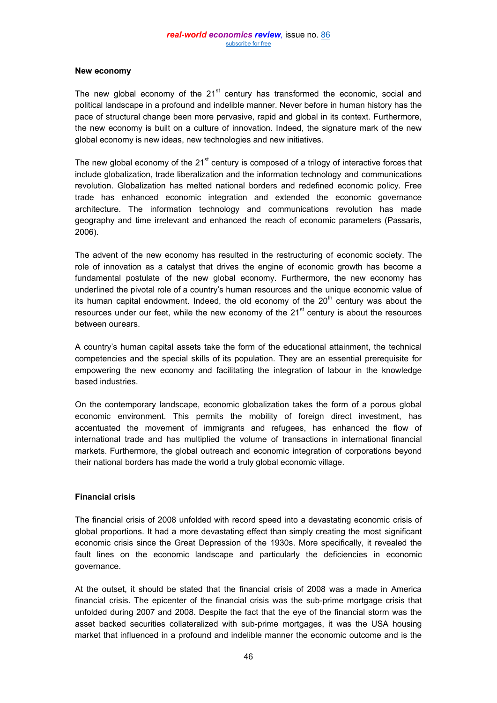## **New economy**

The new global economy of the  $21<sup>st</sup>$  century has transformed the economic, social and political landscape in a profound and indelible manner. Never before in human history has the pace of structural change been more pervasive, rapid and global in its context. Furthermore, the new economy is built on a culture of innovation. Indeed, the signature mark of the new global economy is new ideas, new technologies and new initiatives.

The new global economy of the  $21<sup>st</sup>$  century is composed of a trilogy of interactive forces that include globalization, trade liberalization and the information technology and communications revolution. Globalization has melted national borders and redefined economic policy. Free trade has enhanced economic integration and extended the economic governance architecture. The information technology and communications revolution has made geography and time irrelevant and enhanced the reach of economic parameters (Passaris, 2006).

The advent of the new economy has resulted in the restructuring of economic society. The role of innovation as a catalyst that drives the engine of economic growth has become a fundamental postulate of the new global economy. Furthermore, the new economy has underlined the pivotal role of a country's human resources and the unique economic value of its human capital endowment. Indeed, the old economy of the  $20<sup>th</sup>$  century was about the resources under our feet, while the new economy of the  $21<sup>st</sup>$  century is about the resources between ourears.

A country's human capital assets take the form of the educational attainment, the technical competencies and the special skills of its population. They are an essential prerequisite for empowering the new economy and facilitating the integration of labour in the knowledge based industries.

On the contemporary landscape, economic globalization takes the form of a porous global economic environment. This permits the mobility of foreign direct investment, has accentuated the movement of immigrants and refugees, has enhanced the flow of international trade and has multiplied the volume of transactions in international financial markets. Furthermore, the global outreach and economic integration of corporations beyond their national borders has made the world a truly global economic village.

# **Financial crisis**

The financial crisis of 2008 unfolded with record speed into a devastating economic crisis of global proportions. It had a more devastating effect than simply creating the most significant economic crisis since the Great Depression of the 1930s. More specifically, it revealed the fault lines on the economic landscape and particularly the deficiencies in economic governance.

At the outset, it should be stated that the financial crisis of 2008 was a made in America financial crisis. The epicenter of the financial crisis was the sub-prime mortgage crisis that unfolded during 2007 and 2008. Despite the fact that the eye of the financial storm was the asset backed securities collateralized with sub-prime mortgages, it was the USA housing market that influenced in a profound and indelible manner the economic outcome and is the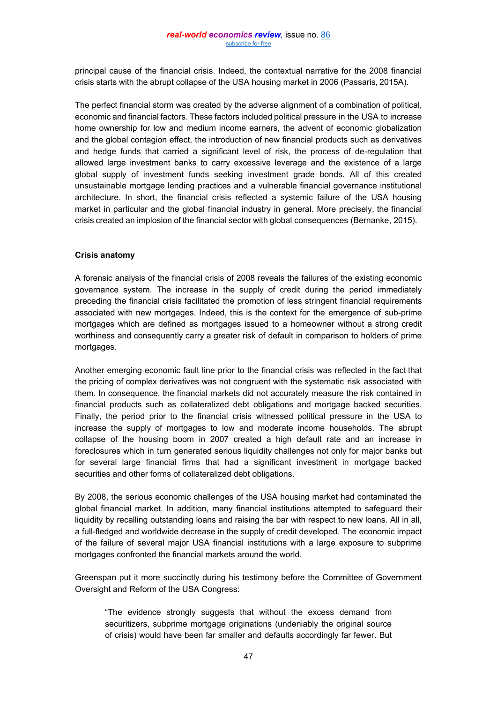principal cause of the financial crisis. Indeed, the contextual narrative for the 2008 financial crisis starts with the abrupt collapse of the USA housing market in 2006 (Passaris, 2015A).

The perfect financial storm was created by the adverse alignment of a combination of political, economic and financial factors. These factors included political pressure in the USA to increase home ownership for low and medium income earners, the advent of economic globalization and the global contagion effect, the introduction of new financial products such as derivatives and hedge funds that carried a significant level of risk, the process of de-regulation that allowed large investment banks to carry excessive leverage and the existence of a large global supply of investment funds seeking investment grade bonds. All of this created unsustainable mortgage lending practices and a vulnerable financial governance institutional architecture. In short, the financial crisis reflected a systemic failure of the USA housing market in particular and the global financial industry in general. More precisely, the financial crisis created an implosion of the financial sector with global consequences (Bernanke, 2015).

## **Crisis anatomy**

A forensic analysis of the financial crisis of 2008 reveals the failures of the existing economic governance system. The increase in the supply of credit during the period immediately preceding the financial crisis facilitated the promotion of less stringent financial requirements associated with new mortgages. Indeed, this is the context for the emergence of sub-prime mortgages which are defined as mortgages issued to a homeowner without a strong credit worthiness and consequently carry a greater risk of default in comparison to holders of prime mortgages.

Another emerging economic fault line prior to the financial crisis was reflected in the fact that the pricing of complex derivatives was not congruent with the systematic risk associated with them. In consequence, the financial markets did not accurately measure the risk contained in financial products such as collateralized debt obligations and mortgage backed securities. Finally, the period prior to the financial crisis witnessed political pressure in the USA to increase the supply of mortgages to low and moderate income households. The abrupt collapse of the housing boom in 2007 created a high default rate and an increase in foreclosures which in turn generated serious liquidity challenges not only for major banks but for several large financial firms that had a significant investment in mortgage backed securities and other forms of collateralized debt obligations.

By 2008, the serious economic challenges of the USA housing market had contaminated the global financial market. In addition, many financial institutions attempted to safeguard their liquidity by recalling outstanding loans and raising the bar with respect to new loans. All in all, a full-fledged and worldwide decrease in the supply of credit developed. The economic impact of the failure of several major USA financial institutions with a large exposure to subprime mortgages confronted the financial markets around the world.

Greenspan put it more succinctly during his testimony before the Committee of Government Oversight and Reform of the USA Congress:

"The evidence strongly suggests that without the excess demand from securitizers, subprime mortgage originations (undeniably the original source of crisis) would have been far smaller and defaults accordingly far fewer. But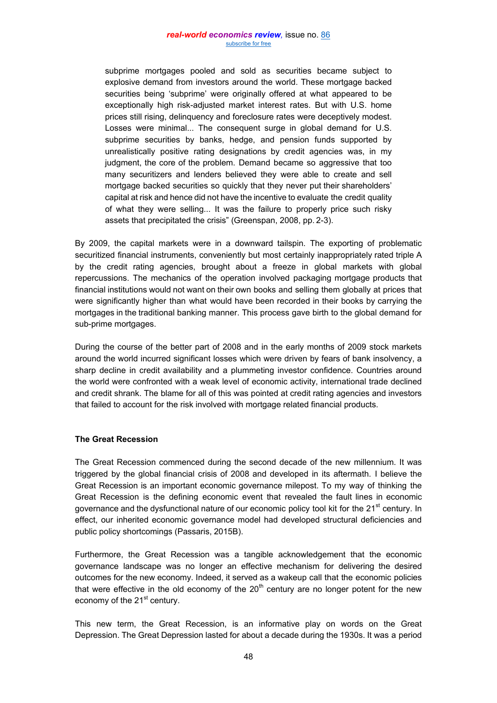#### *real-world economics review,* issue no. [86](http://www.paecon.net/PAEReview/issue86/whole86.pdf) [subscribe for free](http://www.feedblitz.com/f/f.fbz?Sub=332386)

subprime mortgages pooled and sold as securities became subject to explosive demand from investors around the world. These mortgage backed securities being 'subprime' were originally offered at what appeared to be exceptionally high risk-adjusted market interest rates. But with U.S. home prices still rising, delinquency and foreclosure rates were deceptively modest. Losses were minimal... The consequent surge in global demand for U.S. subprime securities by banks, hedge, and pension funds supported by unrealistically positive rating designations by credit agencies was, in my judgment, the core of the problem. Demand became so aggressive that too many securitizers and lenders believed they were able to create and sell mortgage backed securities so quickly that they never put their shareholders' capital at risk and hence did not have the incentive to evaluate the credit quality of what they were selling... It was the failure to properly price such risky assets that precipitated the crisis" (Greenspan, 2008, pp. 2-3).

By 2009, the capital markets were in a downward tailspin. The exporting of problematic securitized financial instruments, conveniently but most certainly inappropriately rated triple A by the credit rating agencies, brought about a freeze in global markets with global repercussions. The mechanics of the operation involved packaging mortgage products that financial institutions would not want on their own books and selling them globally at prices that were significantly higher than what would have been recorded in their books by carrying the mortgages in the traditional banking manner. This process gave birth to the global demand for sub-prime mortgages.

During the course of the better part of 2008 and in the early months of 2009 stock markets around the world incurred significant losses which were driven by fears of bank insolvency, a sharp decline in credit availability and a plummeting investor confidence. Countries around the world were confronted with a weak level of economic activity, international trade declined and credit shrank. The blame for all of this was pointed at credit rating agencies and investors that failed to account for the risk involved with mortgage related financial products.

#### **The Great Recession**

The Great Recession commenced during the second decade of the new millennium. It was triggered by the global financial crisis of 2008 and developed in its aftermath. I believe the Great Recession is an important economic governance milepost. To my way of thinking the Great Recession is the defining economic event that revealed the fault lines in economic governance and the dysfunctional nature of our economic policy tool kit for the 21<sup>st</sup> century. In effect, our inherited economic governance model had developed structural deficiencies and public policy shortcomings (Passaris, 2015B).

Furthermore, the Great Recession was a tangible acknowledgement that the economic governance landscape was no longer an effective mechanism for delivering the desired outcomes for the new economy. Indeed, it served as a wakeup call that the economic policies that were effective in the old economy of the  $20<sup>th</sup>$  century are no longer potent for the new economy of the  $21<sup>st</sup>$  century.

This new term, the Great Recession, is an informative play on words on the Great Depression. The Great Depression lasted for about a decade during the 1930s. It was a period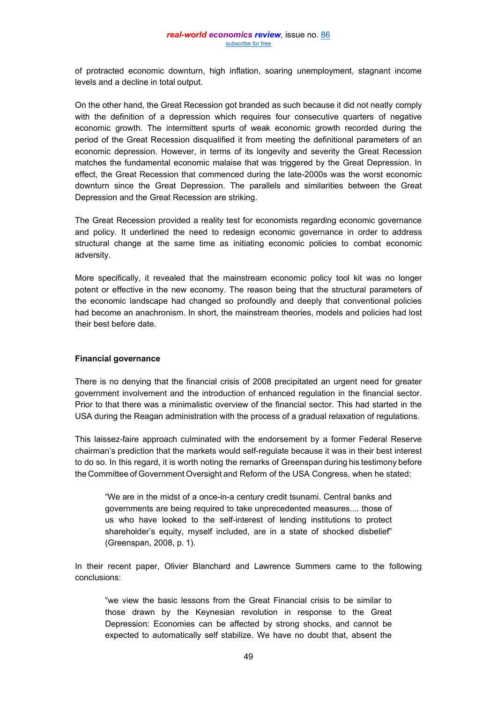of protracted economic downturn, high inflation, soaring unemployment, stagnant income levels and a decline in total output.

On the other hand, the Great Recession got branded as such because it did not neatly comply with the definition of a depression which requires four consecutive quarters of negative economic growth. The intermittent spurts of weak economic growth recorded during the period of the Great Recession disqualified it from meeting the definitional parameters of an economic depression. However, in terms of its longevity and severity the Great Recession matches the fundamental economic malaise that was triggered by the Great Depression. In effect, the Great Recession that commenced during the late-2000s was the worst economic downturn since the Great Depression. The parallels and similarities between the Great Depression and the Great Recession are striking.

The Great Recession provided a reality test for economists regarding economic governance and policy. It underlined the need to redesign economic governance in order to address structural change at the same time as initiating economic policies to combat economic adversity.

More specifically, it revealed that the mainstream economic policy tool kit was no longer potent or effective in the new economy. The reason being that the structural parameters of the economic landscape had changed so profoundly and deeply that conventional policies had become an anachronism. In short, the mainstream theories, models and policies had lost their best before date.

#### **Financial governance**

There is no denying that the financial crisis of 2008 precipitated an urgent need for greater government involvement and the introduction of enhanced regulation in the financial sector. Prior to that there was a minimalistic overview of the financial sector. This had started in the USA during the Reagan administration with the process of a gradual relaxation of regulations.

This laissez-faire approach culminated with the endorsement by a former Federal Reserve chairman's prediction that the markets would self-regulate because it was in their best interest to do so. In this regard, it is worth noting the remarks of Greenspan during his testimony before the Committee of Government Oversight and Reform of the USA Congress, when he stated:

"We are in the midst of a once-in-a century credit tsunami. Central banks and governments are being required to take unprecedented measures.... those of us who have looked to the self-interest of lending institutions to protect shareholder's equity, myself included, are in a state of shocked disbelief" (Greenspan, 2008, p. 1).

In their recent paper, Olivier Blanchard and Lawrence Summers came to the following conclusions:

"we view the basic lessons from the Great Financial crisis to be similar to those drawn by the Keynesian revolution in response to the Great Depression: Economies can be affected by strong shocks, and cannot be expected to automatically self stabilize. We have no doubt that, absent the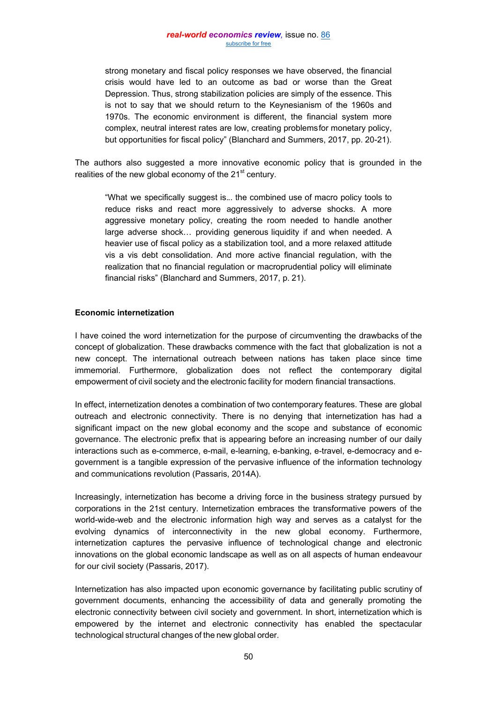strong monetary and fiscal policy responses we have observed, the financial crisis would have led to an outcome as bad or worse than the Great Depression. Thus, strong stabilization policies are simply of the essence. This is not to say that we should return to the Keynesianism of the 1960s and 1970s. The economic environment is different, the financial system more complex, neutral interest rates are low, creating problemsfor monetary policy, but opportunities for fiscal policy" (Blanchard and Summers, 2017, pp. 20-21).

The authors also suggested a more innovative economic policy that is grounded in the realities of the new global economy of the  $21<sup>st</sup>$  century.

"What we specifically suggest is... the combined use of macro policy tools to reduce risks and react more aggressively to adverse shocks. A more aggressive monetary policy, creating the room needed to handle another large adverse shock… providing generous liquidity if and when needed. A heavier use of fiscal policy as a stabilization tool, and a more relaxed attitude vis a vis debt consolidation. And more active financial regulation, with the realization that no financial regulation or macroprudential policy will eliminate financial risks" (Blanchard and Summers, 2017, p. 21).

## **Economic internetization**

I have coined the word internetization for the purpose of circumventing the drawbacks of the concept of globalization. These drawbacks commence with the fact that globalization is not a new concept. The international outreach between nations has taken place since time immemorial. Furthermore, globalization does not reflect the contemporary digital empowerment of civil society and the electronic facility for modern financial transactions.

In effect, internetization denotes a combination of two contemporary features. These are global outreach and electronic connectivity. There is no denying that internetization has had a significant impact on the new global economy and the scope and substance of economic governance. The electronic prefix that is appearing before an increasing number of our daily interactions such as e-commerce, e-mail, e-learning, e-banking, e-travel, e-democracy and egovernment is a tangible expression of the pervasive influence of the information technology and communications revolution (Passaris, 2014A).

Increasingly, internetization has become a driving force in the business strategy pursued by corporations in the 21st century. Internetization embraces the transformative powers of the world-wide-web and the electronic information high way and serves as a catalyst for the evolving dynamics of interconnectivity in the new global economy. Furthermore, internetization captures the pervasive influence of technological change and electronic innovations on the global economic landscape as well as on all aspects of human endeavour for our civil society (Passaris, 2017).

Internetization has also impacted upon economic governance by facilitating public scrutiny of government documents, enhancing the accessibility of data and generally promoting the electronic connectivity between civil society and government. In short, internetization which is empowered by the internet and electronic connectivity has enabled the spectacular technological structural changes of the new global order.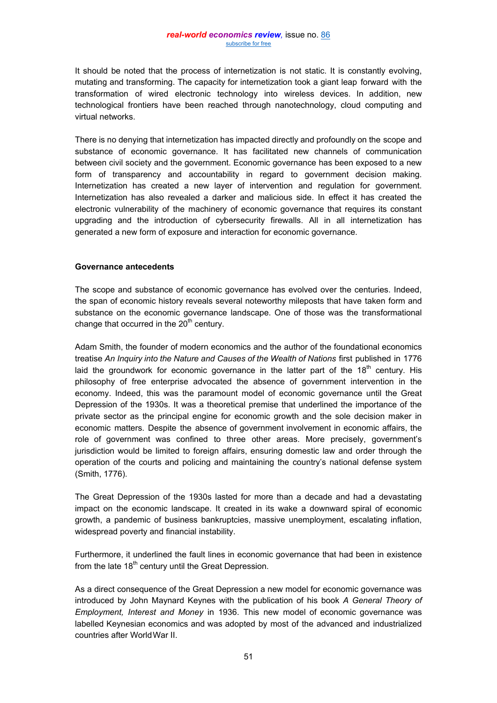It should be noted that the process of internetization is not static. It is constantly evolving, mutating and transforming. The capacity for internetization took a giant leap forward with the transformation of wired electronic technology into wireless devices. In addition, new technological frontiers have been reached through nanotechnology, cloud computing and virtual networks.

There is no denying that internetization has impacted directly and profoundly on the scope and substance of economic governance. It has facilitated new channels of communication between civil society and the government. Economic governance has been exposed to a new form of transparency and accountability in regard to government decision making. Internetization has created a new layer of intervention and regulation for government. Internetization has also revealed a darker and malicious side. In effect it has created the electronic vulnerability of the machinery of economic governance that requires its constant upgrading and the introduction of cybersecurity firewalls. All in all internetization has generated a new form of exposure and interaction for economic governance.

#### **Governance antecedents**

The scope and substance of economic governance has evolved over the centuries. Indeed, the span of economic history reveals several noteworthy mileposts that have taken form and substance on the economic governance landscape. One of those was the transformational change that occurred in the  $20<sup>th</sup>$  century.

Adam Smith, the founder of modern economics and the author of the foundational economics treatise *An Inquiry into the Nature and Causes of the Wealth of Nations* first published in 1776 laid the groundwork for economic governance in the latter part of the 18<sup>th</sup> century. His philosophy of free enterprise advocated the absence of government intervention in the economy. Indeed, this was the paramount model of economic governance until the Great Depression of the 1930s. It was a theoretical premise that underlined the importance of the private sector as the principal engine for economic growth and the sole decision maker in economic matters. Despite the absence of government involvement in economic affairs, the role of government was confined to three other areas. More precisely, government's jurisdiction would be limited to foreign affairs, ensuring domestic law and order through the operation of the courts and policing and maintaining the country's national defense system (Smith, 1776).

The Great Depression of the 1930s lasted for more than a decade and had a devastating impact on the economic landscape. It created in its wake a downward spiral of economic growth, a pandemic of business bankruptcies, massive unemployment, escalating inflation, widespread poverty and financial instability.

Furthermore, it underlined the fault lines in economic governance that had been in existence from the late  $18<sup>th</sup>$  century until the Great Depression.

As a direct consequence of the Great Depression a new model for economic governance was introduced by John Maynard Keynes with the publication of his book *A General Theory of Employment, Interest and Money* in 1936. This new model of economic governance was labelled Keynesian economics and was adopted by most of the advanced and industrialized countries after WorldWar II.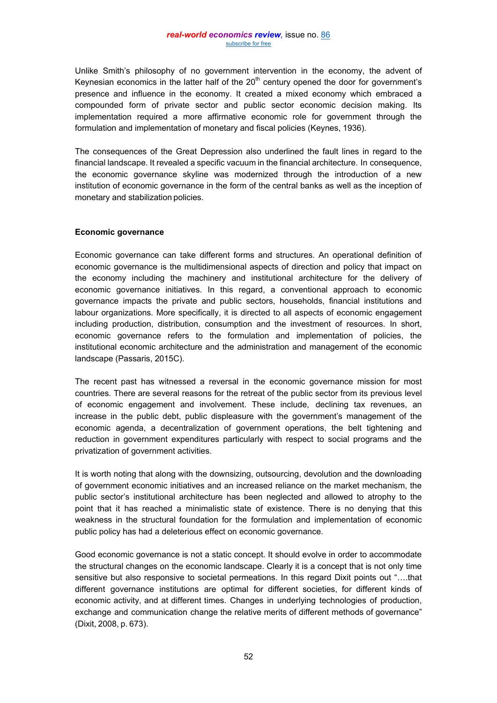Unlike Smith's philosophy of no government intervention in the economy, the advent of Keynesian economics in the latter half of the  $20<sup>th</sup>$  century opened the door for government's presence and influence in the economy. It created a mixed economy which embraced a compounded form of private sector and public sector economic decision making. Its implementation required a more affirmative economic role for government through the formulation and implementation of monetary and fiscal policies (Keynes, 1936).

The consequences of the Great Depression also underlined the fault lines in regard to the financial landscape. It revealed a specific vacuum in the financial architecture. In consequence, the economic governance skyline was modernized through the introduction of a new institution of economic governance in the form of the central banks as well as the inception of monetary and stabilization policies.

## **Economic governance**

Economic governance can take different forms and structures. An operational definition of economic governance is the multidimensional aspects of direction and policy that impact on the economy including the machinery and institutional architecture for the delivery of economic governance initiatives. In this regard, a conventional approach to economic governance impacts the private and public sectors, households, financial institutions and labour organizations. More specifically, it is directed to all aspects of economic engagement including production, distribution, consumption and the investment of resources. In short, economic governance refers to the formulation and implementation of policies, the institutional economic architecture and the administration and management of the economic landscape (Passaris, 2015C).

The recent past has witnessed a reversal in the economic governance mission for most countries. There are several reasons for the retreat of the public sector from its previous level of economic engagement and involvement. These include, declining tax revenues, an increase in the public debt, public displeasure with the government's management of the economic agenda, a decentralization of government operations, the belt tightening and reduction in government expenditures particularly with respect to social programs and the privatization of government activities.

It is worth noting that along with the downsizing, outsourcing, devolution and the downloading of government economic initiatives and an increased reliance on the market mechanism, the public sector's institutional architecture has been neglected and allowed to atrophy to the point that it has reached a minimalistic state of existence. There is no denying that this weakness in the structural foundation for the formulation and implementation of economic public policy has had a deleterious effect on economic governance.

Good economic governance is not a static concept. It should evolve in order to accommodate the structural changes on the economic landscape. Clearly it is a concept that is not only time sensitive but also responsive to societal permeations. In this regard Dixit points out "….that different governance institutions are optimal for different societies, for different kinds of economic activity, and at different times. Changes in underlying technologies of production, exchange and communication change the relative merits of different methods of governance" (Dixit, 2008, p. 673).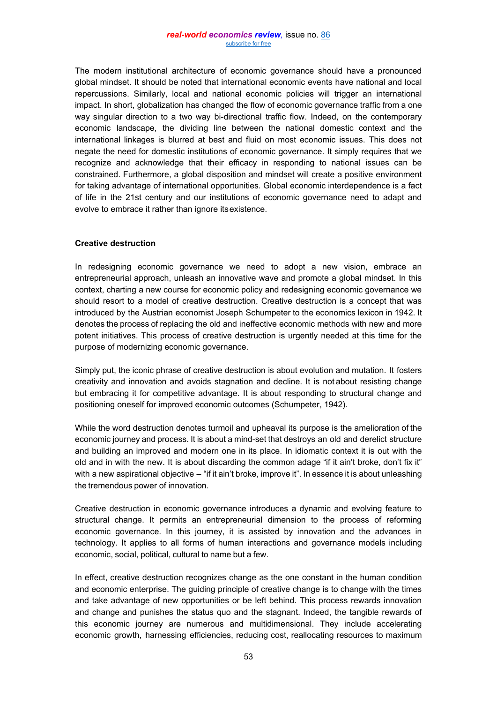The modern institutional architecture of economic governance should have a pronounced global mindset. It should be noted that international economic events have national and local repercussions. Similarly, local and national economic policies will trigger an international impact. In short, globalization has changed the flow of economic governance traffic from a one way singular direction to a two way bi-directional traffic flow. Indeed, on the contemporary economic landscape, the dividing line between the national domestic context and the international linkages is blurred at best and fluid on most economic issues. This does not negate the need for domestic institutions of economic governance. It simply requires that we recognize and acknowledge that their efficacy in responding to national issues can be constrained. Furthermore, a global disposition and mindset will create a positive environment for taking advantage of international opportunities. Global economic interdependence is a fact of life in the 21st century and our institutions of economic governance need to adapt and evolve to embrace it rather than ignore itsexistence.

# **Creative destruction**

In redesigning economic governance we need to adopt a new vision, embrace an entrepreneurial approach, unleash an innovative wave and promote a global mindset. In this context, charting a new course for economic policy and redesigning economic governance we should resort to a model of creative destruction. Creative destruction is a concept that was introduced by the Austrian economist Joseph Schumpeter to the economics lexicon in 1942. It denotes the process of replacing the old and ineffective economic methods with new and more potent initiatives. This process of creative destruction is urgently needed at this time for the purpose of modernizing economic governance.

Simply put, the iconic phrase of creative destruction is about evolution and mutation. It fosters creativity and innovation and avoids stagnation and decline. It is not about resisting change but embracing it for competitive advantage. It is about responding to structural change and positioning oneself for improved economic outcomes (Schumpeter, 1942).

While the word destruction denotes turmoil and upheaval its purpose is the amelioration of the economic journey and process. It is about a mind-set that destroys an old and derelict structure and building an improved and modern one in its place. In idiomatic context it is out with the old and in with the new. It is about discarding the common adage "if it ain't broke, don't fix it" with a new aspirational objective – "if it ain't broke, improve it". In essence it is about unleashing the tremendous power of innovation.

Creative destruction in economic governance introduces a dynamic and evolving feature to structural change. It permits an entrepreneurial dimension to the process of reforming economic governance. In this journey, it is assisted by innovation and the advances in technology. It applies to all forms of human interactions and governance models including economic, social, political, cultural to name but a few.

In effect, creative destruction recognizes change as the one constant in the human condition and economic enterprise. The guiding principle of creative change is to change with the times and take advantage of new opportunities or be left behind. This process rewards innovation and change and punishes the status quo and the stagnant. Indeed, the tangible rewards of this economic journey are numerous and multidimensional. They include accelerating economic growth, harnessing efficiencies, reducing cost, reallocating resources to maximum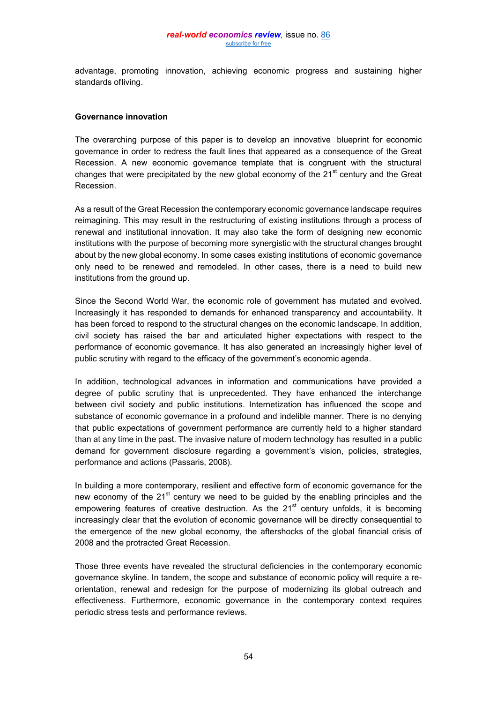advantage, promoting innovation, achieving economic progress and sustaining higher standards ofliving.

## **Governance innovation**

The overarching purpose of this paper is to develop an innovative blueprint for economic governance in order to redress the fault lines that appeared as a consequence of the Great Recession. A new economic governance template that is congruent with the structural changes that were precipitated by the new global economy of the  $21<sup>st</sup>$  century and the Great Recession.

As a result of the Great Recession the contemporary economic governance landscape requires reimagining. This may result in the restructuring of existing institutions through a process of renewal and institutional innovation. It may also take the form of designing new economic institutions with the purpose of becoming more synergistic with the structural changes brought about by the new global economy. In some cases existing institutions of economic governance only need to be renewed and remodeled. In other cases, there is a need to build new institutions from the ground up.

Since the Second World War, the economic role of government has mutated and evolved. Increasingly it has responded to demands for enhanced transparency and accountability. It has been forced to respond to the structural changes on the economic landscape. In addition, civil society has raised the bar and articulated higher expectations with respect to the performance of economic governance. It has also generated an increasingly higher level of public scrutiny with regard to the efficacy of the government's economic agenda.

In addition, technological advances in information and communications have provided a degree of public scrutiny that is unprecedented. They have enhanced the interchange between civil society and public institutions. Internetization has influenced the scope and substance of economic governance in a profound and indelible manner. There is no denying that public expectations of government performance are currently held to a higher standard than at any time in the past. The invasive nature of modern technology has resulted in a public demand for government disclosure regarding a government's vision, policies, strategies, performance and actions (Passaris, 2008).

In building a more contemporary, resilient and effective form of economic governance for the new economy of the  $21<sup>st</sup>$  century we need to be guided by the enabling principles and the empowering features of creative destruction. As the  $21<sup>st</sup>$  century unfolds, it is becoming increasingly clear that the evolution of economic governance will be directly consequential to the emergence of the new global economy, the aftershocks of the global financial crisis of 2008 and the protracted Great Recession.

Those three events have revealed the structural deficiencies in the contemporary economic governance skyline. In tandem, the scope and substance of economic policy will require a reorientation, renewal and redesign for the purpose of modernizing its global outreach and effectiveness. Furthermore, economic governance in the contemporary context requires periodic stress tests and performance reviews.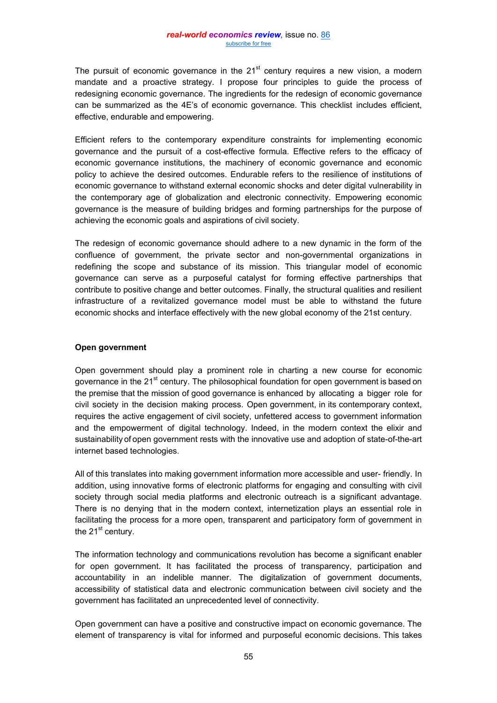The pursuit of economic governance in the  $21<sup>st</sup>$  century requires a new vision, a modern mandate and a proactive strategy. I propose four principles to guide the process of redesigning economic governance. The ingredients for the redesign of economic governance can be summarized as the 4E's of economic governance. This checklist includes efficient, effective, endurable and empowering.

Efficient refers to the contemporary expenditure constraints for implementing economic governance and the pursuit of a cost-effective formula. Effective refers to the efficacy of economic governance institutions, the machinery of economic governance and economic policy to achieve the desired outcomes. Endurable refers to the resilience of institutions of economic governance to withstand external economic shocks and deter digital vulnerability in the contemporary age of globalization and electronic connectivity. Empowering economic governance is the measure of building bridges and forming partnerships for the purpose of achieving the economic goals and aspirations of civil society.

The redesign of economic governance should adhere to a new dynamic in the form of the confluence of government, the private sector and non-governmental organizations in redefining the scope and substance of its mission. This triangular model of economic governance can serve as a purposeful catalyst for forming effective partnerships that contribute to positive change and better outcomes. Finally, the structural qualities and resilient infrastructure of a revitalized governance model must be able to withstand the future economic shocks and interface effectively with the new global economy of the 21st century.

## **Open government**

Open government should play a prominent role in charting a new course for economic governance in the 21<sup>st</sup> century. The philosophical foundation for open government is based on the premise that the mission of good governance is enhanced by allocating a bigger role for civil society in the decision making process. Open government, in its contemporary context, requires the active engagement of civil society, unfettered access to government information and the empowerment of digital technology. Indeed, in the modern context the elixir and sustainability of open government rests with the innovative use and adoption of state-of-the-art internet based technologies.

All of this translates into making government information more accessible and user- friendly. In addition, using innovative forms of electronic platforms for engaging and consulting with civil society through social media platforms and electronic outreach is a significant advantage. There is no denying that in the modern context, internetization plays an essential role in facilitating the process for a more open, transparent and participatory form of government in the  $21<sup>st</sup>$  century.

The information technology and communications revolution has become a significant enabler for open government. It has facilitated the process of transparency, participation and accountability in an indelible manner. The digitalization of government documents, accessibility of statistical data and electronic communication between civil society and the government has facilitated an unprecedented level of connectivity.

Open government can have a positive and constructive impact on economic governance. The element of transparency is vital for informed and purposeful economic decisions. This takes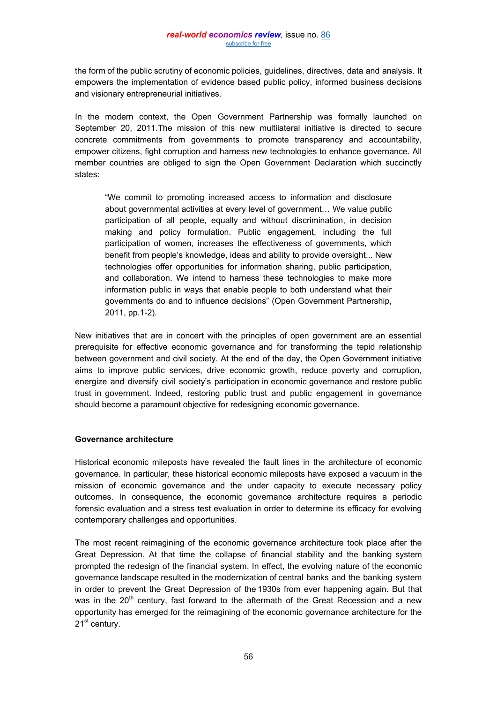the form of the public scrutiny of economic policies, guidelines, directives, data and analysis. It empowers the implementation of evidence based public policy, informed business decisions and visionary entrepreneurial initiatives.

In the modern context, the Open Government Partnership was formally launched on September 20, 2011.The mission of this new multilateral initiative is directed to secure concrete commitments from governments to promote transparency and accountability, empower citizens, fight corruption and harness new technologies to enhance governance. All member countries are obliged to sign the Open Government Declaration which succinctly states:

"We commit to promoting increased access to information and disclosure about governmental activities at every level of government… We value public participation of all people, equally and without discrimination, in decision making and policy formulation. Public engagement, including the full participation of women, increases the effectiveness of governments, which benefit from people's knowledge, ideas and ability to provide oversight... New technologies offer opportunities for information sharing, public participation, and collaboration. We intend to harness these technologies to make more information public in ways that enable people to both understand what their governments do and to influence decisions" (Open Government Partnership, 2011, pp.1-2).

New initiatives that are in concert with the principles of open government are an essential prerequisite for effective economic governance and for transforming the tepid relationship between government and civil society. At the end of the day, the Open Government initiative aims to improve public services, drive economic growth, reduce poverty and corruption, energize and diversify civil society's participation in economic governance and restore public trust in government. Indeed, restoring public trust and public engagement in governance should become a paramount objective for redesigning economic governance.

# **Governance architecture**

Historical economic mileposts have revealed the fault lines in the architecture of economic governance. In particular, these historical economic mileposts have exposed a vacuum in the mission of economic governance and the under capacity to execute necessary policy outcomes. In consequence, the economic governance architecture requires a periodic forensic evaluation and a stress test evaluation in order to determine its efficacy for evolving contemporary challenges and opportunities.

The most recent reimagining of the economic governance architecture took place after the Great Depression. At that time the collapse of financial stability and the banking system prompted the redesign of the financial system. In effect, the evolving nature of the economic governance landscape resulted in the modernization of central banks and the banking system in order to prevent the Great Depression of the 1930s from ever happening again. But that was in the 20<sup>th</sup> century, fast forward to the aftermath of the Great Recession and a new opportunity has emerged for the reimagining of the economic governance architecture for the 21<sup>st</sup> century.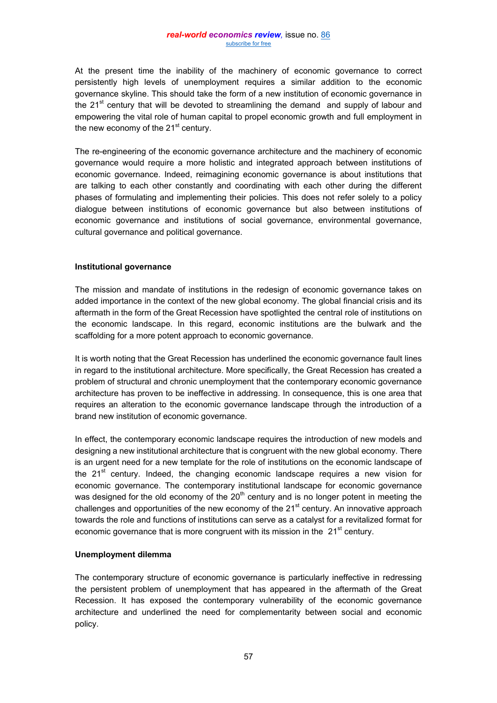At the present time the inability of the machinery of economic governance to correct persistently high levels of unemployment requires a similar addition to the economic governance skyline. This should take the form of a new institution of economic governance in the  $21<sup>st</sup>$  century that will be devoted to streamlining the demand and supply of labour and empowering the vital role of human capital to propel economic growth and full employment in the new economy of the  $21<sup>st</sup>$  century.

The re-engineering of the economic governance architecture and the machinery of economic governance would require a more holistic and integrated approach between institutions of economic governance. Indeed, reimagining economic governance is about institutions that are talking to each other constantly and coordinating with each other during the different phases of formulating and implementing their policies. This does not refer solely to a policy dialogue between institutions of economic governance but also between institutions of economic governance and institutions of social governance, environmental governance, cultural governance and political governance.

# **Institutional governance**

The mission and mandate of institutions in the redesign of economic governance takes on added importance in the context of the new global economy. The global financial crisis and its aftermath in the form of the Great Recession have spotlighted the central role of institutions on the economic landscape. In this regard, economic institutions are the bulwark and the scaffolding for a more potent approach to economic governance.

It is worth noting that the Great Recession has underlined the economic governance fault lines in regard to the institutional architecture. More specifically, the Great Recession has created a problem of structural and chronic unemployment that the contemporary economic governance architecture has proven to be ineffective in addressing. In consequence, this is one area that requires an alteration to the economic governance landscape through the introduction of a brand new institution of economic governance.

In effect, the contemporary economic landscape requires the introduction of new models and designing a new institutional architecture that is congruent with the new global economy. There is an urgent need for a new template for the role of institutions on the economic landscape of the 21<sup>st</sup> century. Indeed, the changing economic landscape requires a new vision for economic governance. The contemporary institutional landscape for economic governance was designed for the old economy of the  $20<sup>th</sup>$  century and is no longer potent in meeting the challenges and opportunities of the new economy of the  $21<sup>st</sup>$  century. An innovative approach towards the role and functions of institutions can serve as a catalyst for a revitalized format for economic governance that is more congruent with its mission in the  $21<sup>st</sup>$  century.

# **Unemployment dilemma**

The contemporary structure of economic governance is particularly ineffective in redressing the persistent problem of unemployment that has appeared in the aftermath of the Great Recession. It has exposed the contemporary vulnerability of the economic governance architecture and underlined the need for complementarity between social and economic policy.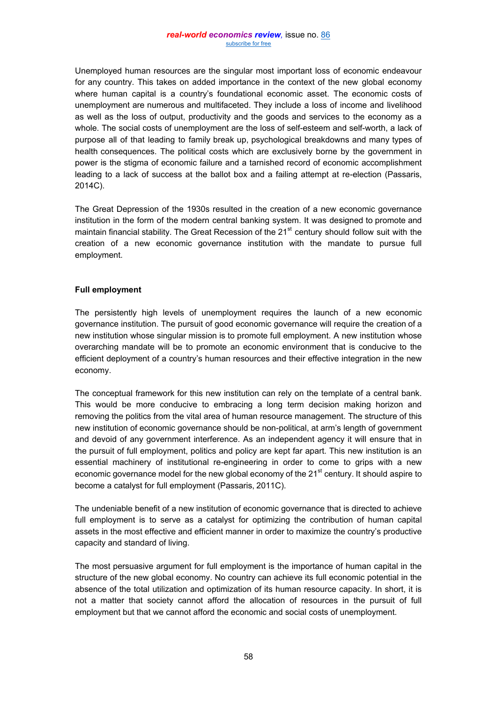Unemployed human resources are the singular most important loss of economic endeavour for any country. This takes on added importance in the context of the new global economy where human capital is a country's foundational economic asset. The economic costs of unemployment are numerous and multifaceted. They include a loss of income and livelihood as well as the loss of output, productivity and the goods and services to the economy as a whole. The social costs of unemployment are the loss of self-esteem and self-worth, a lack of purpose all of that leading to family break up, psychological breakdowns and many types of health consequences. The political costs which are exclusively borne by the government in power is the stigma of economic failure and a tarnished record of economic accomplishment leading to a lack of success at the ballot box and a failing attempt at re-election (Passaris, 2014C).

The Great Depression of the 1930s resulted in the creation of a new economic governance institution in the form of the modern central banking system. It was designed to promote and maintain financial stability. The Great Recession of the  $21<sup>st</sup>$  century should follow suit with the creation of a new economic governance institution with the mandate to pursue full employment.

# **Full employment**

The persistently high levels of unemployment requires the launch of a new economic governance institution. The pursuit of good economic governance will require the creation of a new institution whose singular mission is to promote full employment. A new institution whose overarching mandate will be to promote an economic environment that is conducive to the efficient deployment of a country's human resources and their effective integration in the new economy.

The conceptual framework for this new institution can rely on the template of a central bank. This would be more conducive to embracing a long term decision making horizon and removing the politics from the vital area of human resource management. The structure of this new institution of economic governance should be non-political, at arm's length of government and devoid of any government interference. As an independent agency it will ensure that in the pursuit of full employment, politics and policy are kept far apart. This new institution is an essential machinery of institutional re-engineering in order to come to grips with a new economic governance model for the new global economy of the 21<sup>st</sup> century. It should aspire to become a catalyst for full employment (Passaris, 2011C).

The undeniable benefit of a new institution of economic governance that is directed to achieve full employment is to serve as a catalyst for optimizing the contribution of human capital assets in the most effective and efficient manner in order to maximize the country's productive capacity and standard of living.

The most persuasive argument for full employment is the importance of human capital in the structure of the new global economy. No country can achieve its full economic potential in the absence of the total utilization and optimization of its human resource capacity. In short, it is not a matter that society cannot afford the allocation of resources in the pursuit of full employment but that we cannot afford the economic and social costs of unemployment.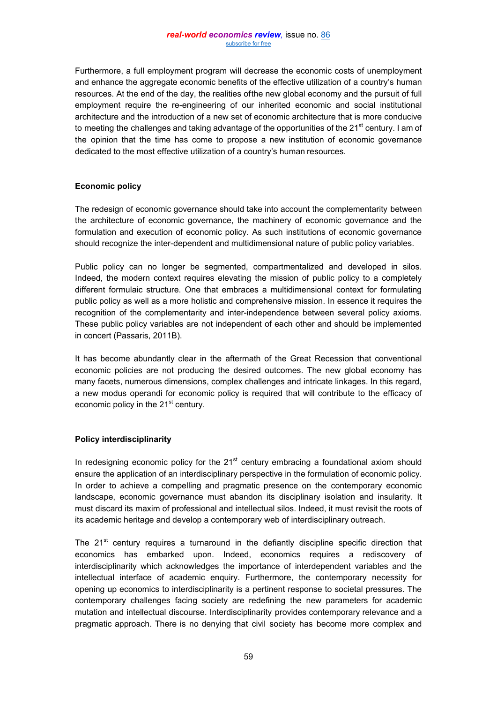Furthermore, a full employment program will decrease the economic costs of unemployment and enhance the aggregate economic benefits of the effective utilization of a country's human resources. At the end of the day, the realities ofthe new global economy and the pursuit of full employment require the re-engineering of our inherited economic and social institutional architecture and the introduction of a new set of economic architecture that is more conducive to meeting the challenges and taking advantage of the opportunities of the  $21<sup>st</sup>$  century. I am of the opinion that the time has come to propose a new institution of economic governance dedicated to the most effective utilization of a country's human resources.

# **Economic policy**

The redesign of economic governance should take into account the complementarity between the architecture of economic governance, the machinery of economic governance and the formulation and execution of economic policy. As such institutions of economic governance should recognize the inter-dependent and multidimensional nature of public policy variables.

Public policy can no longer be segmented, compartmentalized and developed in silos. Indeed, the modern context requires elevating the mission of public policy to a completely different formulaic structure. One that embraces a multidimensional context for formulating public policy as well as a more holistic and comprehensive mission. In essence it requires the recognition of the complementarity and inter-independence between several policy axioms. These public policy variables are not independent of each other and should be implemented in concert (Passaris, 2011B).

It has become abundantly clear in the aftermath of the Great Recession that conventional economic policies are not producing the desired outcomes. The new global economy has many facets, numerous dimensions, complex challenges and intricate linkages. In this regard, a new modus operandi for economic policy is required that will contribute to the efficacy of economic policy in the  $21<sup>st</sup>$  century.

# **Policy interdisciplinarity**

In redesigning economic policy for the 21 $<sup>st</sup>$  century embracing a foundational axiom should</sup> ensure the application of an interdisciplinary perspective in the formulation of economic policy. In order to achieve a compelling and pragmatic presence on the contemporary economic landscape, economic governance must abandon its disciplinary isolation and insularity. It must discard its maxim of professional and intellectual silos. Indeed, it must revisit the roots of its academic heritage and develop a contemporary web of interdisciplinary outreach.

The  $21<sup>st</sup>$  century requires a turnaround in the defiantly discipline specific direction that economics has embarked upon. Indeed, economics requires a rediscovery of interdisciplinarity which acknowledges the importance of interdependent variables and the intellectual interface of academic enquiry. Furthermore, the contemporary necessity for opening up economics to interdisciplinarity is a pertinent response to societal pressures. The contemporary challenges facing society are redefining the new parameters for academic mutation and intellectual discourse. Interdisciplinarity provides contemporary relevance and a pragmatic approach. There is no denying that civil society has become more complex and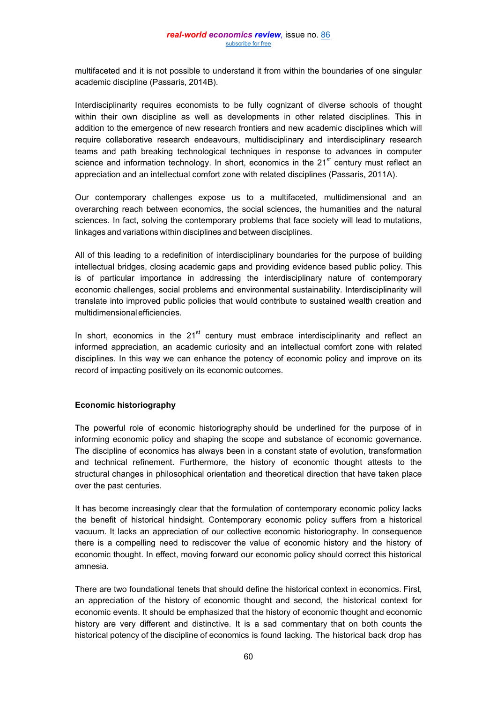multifaceted and it is not possible to understand it from within the boundaries of one singular academic discipline (Passaris, 2014B).

Interdisciplinarity requires economists to be fully cognizant of diverse schools of thought within their own discipline as well as developments in other related disciplines. This in addition to the emergence of new research frontiers and new academic disciplines which will require collaborative research endeavours, multidisciplinary and interdisciplinary research teams and path breaking technological techniques in response to advances in computer science and information technology. In short, economics in the  $21<sup>st</sup>$  century must reflect an appreciation and an intellectual comfort zone with related disciplines (Passaris, 2011A).

Our contemporary challenges expose us to a multifaceted, multidimensional and an overarching reach between economics, the social sciences, the humanities and the natural sciences. In fact, solving the contemporary problems that face society will lead to mutations, linkages and variations within disciplines and between disciplines.

All of this leading to a redefinition of interdisciplinary boundaries for the purpose of building intellectual bridges, closing academic gaps and providing evidence based public policy. This is of particular importance in addressing the interdisciplinary nature of contemporary economic challenges, social problems and environmental sustainability. Interdisciplinarity will translate into improved public policies that would contribute to sustained wealth creation and multidimensionalefficiencies.

In short, economics in the  $21<sup>st</sup>$  century must embrace interdisciplinarity and reflect an informed appreciation, an academic curiosity and an intellectual comfort zone with related disciplines. In this way we can enhance the potency of economic policy and improve on its record of impacting positively on its economic outcomes.

# **Economic historiography**

The powerful role of economic historiography should be underlined for the purpose of in informing economic policy and shaping the scope and substance of economic governance. The discipline of economics has always been in a constant state of evolution, transformation and technical refinement. Furthermore, the history of economic thought attests to the structural changes in philosophical orientation and theoretical direction that have taken place over the past centuries.

It has become increasingly clear that the formulation of contemporary economic policy lacks the benefit of historical hindsight. Contemporary economic policy suffers from a historical vacuum. It lacks an appreciation of our collective economic historiography. In consequence there is a compelling need to rediscover the value of economic history and the history of economic thought. In effect, moving forward our economic policy should correct this historical amnesia.

There are two foundational tenets that should define the historical context in economics. First, an appreciation of the history of economic thought and second, the historical context for economic events. It should be emphasized that the history of economic thought and economic history are very different and distinctive. It is a sad commentary that on both counts the historical potency of the discipline of economics is found lacking. The historical back drop has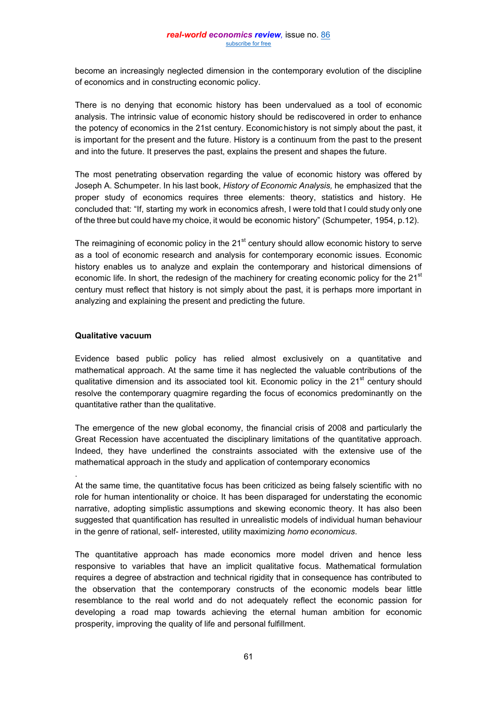become an increasingly neglected dimension in the contemporary evolution of the discipline of economics and in constructing economic policy.

There is no denying that economic history has been undervalued as a tool of economic analysis. The intrinsic value of economic history should be rediscovered in order to enhance the potency of economics in the 21st century. Economichistory is not simply about the past, it is important for the present and the future. History is a continuum from the past to the present and into the future. It preserves the past, explains the present and shapes the future.

The most penetrating observation regarding the value of economic history was offered by Joseph A. Schumpeter. In his last book, *History of Economic Analysis,* he emphasized that the proper study of economics requires three elements: theory, statistics and history. He concluded that: "If, starting my work in economics afresh, I were told that I could study only one of the three but could have my choice, it would be economic history" (Schumpeter, 1954, p.12).

The reimagining of economic policy in the  $21<sup>st</sup>$  century should allow economic history to serve as a tool of economic research and analysis for contemporary economic issues. Economic history enables us to analyze and explain the contemporary and historical dimensions of economic life. In short, the redesign of the machinery for creating economic policy for the 21<sup>st</sup> century must reflect that history is not simply about the past, it is perhaps more important in analyzing and explaining the present and predicting the future.

## **Qualitative vacuum**

.

Evidence based public policy has relied almost exclusively on a quantitative and mathematical approach. At the same time it has neglected the valuable contributions of the qualitative dimension and its associated tool kit. Economic policy in the  $21<sup>st</sup>$  century should resolve the contemporary quagmire regarding the focus of economics predominantly on the quantitative rather than the qualitative.

The emergence of the new global economy, the financial crisis of 2008 and particularly the Great Recession have accentuated the disciplinary limitations of the quantitative approach. Indeed, they have underlined the constraints associated with the extensive use of the mathematical approach in the study and application of contemporary economics

At the same time, the quantitative focus has been criticized as being falsely scientific with no role for human intentionality or choice. It has been disparaged for understating the economic narrative, adopting simplistic assumptions and skewing economic theory. It has also been suggested that quantification has resulted in unrealistic models of individual human behaviour in the genre of rational, self- interested, utility maximizing *homo economicus*.

The quantitative approach has made economics more model driven and hence less responsive to variables that have an implicit qualitative focus. Mathematical formulation requires a degree of abstraction and technical rigidity that in consequence has contributed to the observation that the contemporary constructs of the economic models bear little resemblance to the real world and do not adequately reflect the economic passion for developing a road map towards achieving the eternal human ambition for economic prosperity, improving the quality of life and personal fulfillment.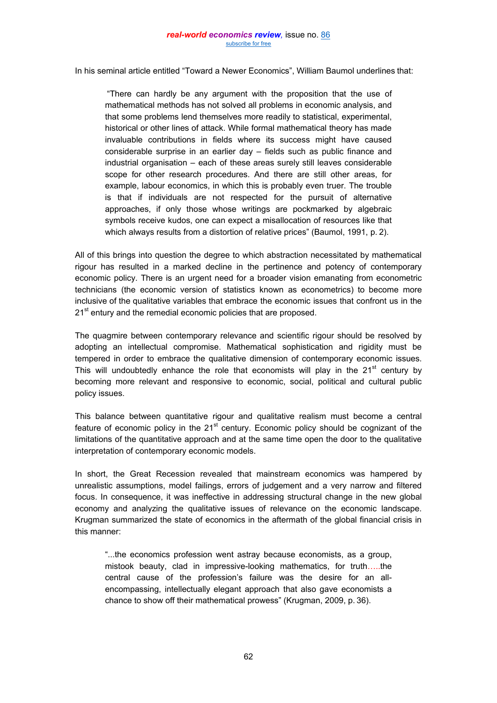In his seminal article entitled "Toward a Newer Economics", William Baumol underlines that:

"There can hardly be any argument with the proposition that the use of mathematical methods has not solved all problems in economic analysis, and that some problems lend themselves more readily to statistical, experimental, historical or other lines of attack. While formal mathematical theory has made invaluable contributions in fields where its success might have caused considerable surprise in an earlier day – fields such as public finance and industrial organisation – each of these areas surely still leaves considerable scope for other research procedures. And there are still other areas, for example, labour economics, in which this is probably even truer. The trouble is that if individuals are not respected for the pursuit of alternative approaches, if only those whose writings are pockmarked by algebraic symbols receive kudos, one can expect a misallocation of resources like that which always results from a distortion of relative prices" (Baumol, 1991, p. 2).

All of this brings into question the degree to which abstraction necessitated by mathematical rigour has resulted in a marked decline in the pertinence and potency of contemporary economic policy. There is an urgent need for a broader vision emanating from econometric technicians (the economic version of statistics known as econometrics) to become more inclusive of the qualitative variables that embrace the economic issues that confront us in the 21<sup>st</sup> entury and the remedial economic policies that are proposed.

The quagmire between contemporary relevance and scientific rigour should be resolved by adopting an intellectual compromise. Mathematical sophistication and rigidity must be tempered in order to embrace the qualitative dimension of contemporary economic issues. This will undoubtedly enhance the role that economists will play in the  $21<sup>st</sup>$  century by becoming more relevant and responsive to economic, social, political and cultural public policy issues.

This balance between quantitative rigour and qualitative realism must become a central feature of economic policy in the  $21<sup>st</sup>$  century. Economic policy should be cognizant of the limitations of the quantitative approach and at the same time open the door to the qualitative interpretation of contemporary economic models.

In short, the Great Recession revealed that mainstream economics was hampered by unrealistic assumptions, model failings, errors of judgement and a very narrow and filtered focus. In consequence, it was ineffective in addressing structural change in the new global economy and analyzing the qualitative issues of relevance on the economic landscape. Krugman summarized the state of economics in the aftermath of the global financial crisis in this manner:

"...the economics profession went astray because economists, as a group, mistook beauty, clad in impressive-looking mathematics, for truth…..the central cause of the profession's failure was the desire for an allencompassing, intellectually elegant approach that also gave economists a chance to show off their mathematical prowess" (Krugman, 2009, p. 36).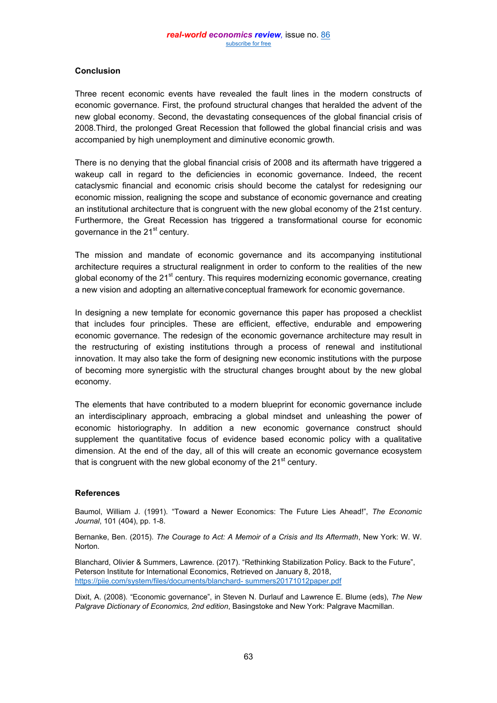# **Conclusion**

Three recent economic events have revealed the fault lines in the modern constructs of economic governance. First, the profound structural changes that heralded the advent of the new global economy. Second, the devastating consequences of the global financial crisis of 2008.Third, the prolonged Great Recession that followed the global financial crisis and was accompanied by high unemployment and diminutive economic growth.

There is no denying that the global financial crisis of 2008 and its aftermath have triggered a wakeup call in regard to the deficiencies in economic governance. Indeed, the recent cataclysmic financial and economic crisis should become the catalyst for redesigning our economic mission, realigning the scope and substance of economic governance and creating an institutional architecture that is congruent with the new global economy of the 21st century. Furthermore, the Great Recession has triggered a transformational course for economic governance in the  $21<sup>st</sup>$  century.

The mission and mandate of economic governance and its accompanying institutional architecture requires a structural realignment in order to conform to the realities of the new global economy of the  $21<sup>st</sup>$  century. This requires modernizing economic governance, creating a new vision and adopting an alternative conceptual framework for economic governance.

In designing a new template for economic governance this paper has proposed a checklist that includes four principles. These are efficient, effective, endurable and empowering economic governance. The redesign of the economic governance architecture may result in the restructuring of existing institutions through a process of renewal and institutional innovation. It may also take the form of designing new economic institutions with the purpose of becoming more synergistic with the structural changes brought about by the new global economy.

The elements that have contributed to a modern blueprint for economic governance include an interdisciplinary approach, embracing a global mindset and unleashing the power of economic historiography. In addition a new economic governance construct should supplement the quantitative focus of evidence based economic policy with a qualitative dimension. At the end of the day, all of this will create an economic governance ecosystem that is congruent with the new global economy of the  $21<sup>st</sup>$  century.

# **References**

Baumol, William J. (1991). "Toward a Newer Economics: The Future Lies Ahead!", *The Economic Journal*, 101 (404), pp. 1-8.

Bernanke, Ben. (2015). *The Courage to Act: A Memoir of a Crisis and Its Aftermath*, New York: W. W. Norton.

Blanchard, Olivier & Summers, Lawrence. (2017). "Rethinking Stabilization Policy. Back to the Future", Peterson Institute for International Economics, Retrieved on January 8, 2018, [https://piie.com/system/files/documents/blanchard-](https://piie.com/system/files/documents/blanchard-%20summers20171012paper.pdf) summers20171012paper.pdf

Dixit, A. (2008). "Economic governance", in Steven N. Durlauf and Lawrence E. Blume (eds), *The New Palgrave Dictionary of Economics, 2nd edition*, Basingstoke and New York: Palgrave Macmillan.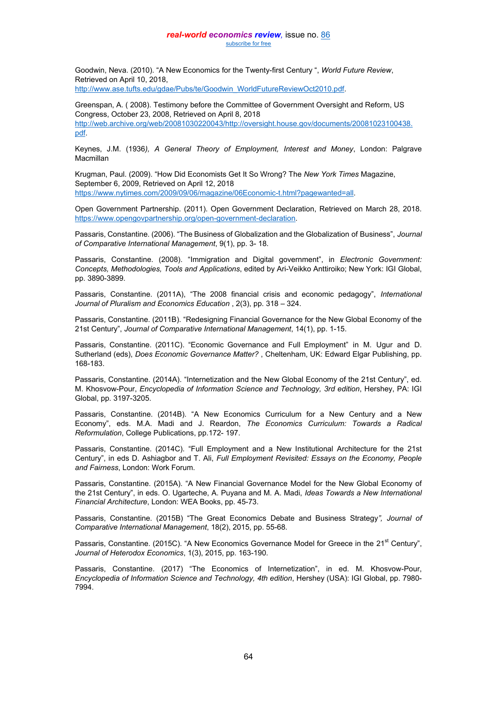#### *real-world economics review,* issue no. [86](http://www.paecon.net/PAEReview/issue86/whole86.pdf) [subscribe for free](http://www.feedblitz.com/f/f.fbz?Sub=332386)

Goodwin, Neva. (2010). "A New Economics for the Twenty-first Century ", *World Future Review*, Retrieved on April 10, 2018, [http://www.ase.tufts.edu/gdae/Pubs/te/Goodwin\\_WorldFutureReviewOct2010.pdf.](http://www.ase.tufts.edu/gdae/Pubs/te/Goodwin_WorldFutureReviewOct2010.pdf)

Greenspan, A. ( 2008). Testimony before the Committee of Government Oversight and Reform, US Congress, October 23, 2008, Retrieved on April 8, 2018 http://web.archive.org/web/20081030220043/http://oversight.house.gov/documents/20081023100438. pdf.

Keynes, J.M. (1936*), A General Theory of Employment, Interest and Money*, London: Palgrave Macmillan

Krugman, Paul. (2009). "How Did Economists Get It So Wrong? The *New York Times* Magazine, September 6, 2009, Retrieved on April 12, 2018 [https://www.nytimes.com/2009/09/06/magazine/06Economic-t.html?pagewanted=all.](https://www.nytimes.com/2009/09/06/magazine/06Economic-t.html?pagewanted=all)

Open Government Partnership. (2011). Open Government Declaration, Retrieved on March 28, 2018. [https://www.opengovpartnership.org/open-government-declaration.](https://www.opengovpartnership.org/open-government-declaration)

Passaris, Constantine. (2006). "The Business of Globalization and the Globalization of Business", *Journal of Comparative International Management*, 9(1), pp. 3- 18.

Passaris, Constantine. (2008). "Immigration and Digital government", in *Electronic Government: Concepts, Methodologies, Tools and Applications*, edited by Ari-Veikko Anttiroiko; New York: IGI Global, pp. 3890-3899.

Passaris, Constantine. (2011A), "The 2008 financial crisis and economic pedagogy", *International Journal of Pluralism and Economics Education* , 2(3), pp. 318 – 324.

Passaris, Constantine. (2011B). "Redesigning Financial Governance for the New Global Economy of the 21st Century", *Journal of Comparative International Management*, 14(1), pp. 1-15.

Passaris, Constantine. (2011C). "Economic Governance and Full Employment" in M. Ugur and D. Sutherland (eds), *Does Economic Governance Matter?* , Cheltenham, UK: Edward Elgar Publishing, pp. 168-183.

Passaris, Constantine. (2014A). "Internetization and the New Global Economy of the 21st Century", ed. M. Khosvow-Pour, *Encyclopedia of Information Science and Technology, 3rd edition*, Hershey, PA: IGI Global, pp. 3197-3205.

Passaris, Constantine. (2014B). "A New Economics Curriculum for a New Century and a New Economy", eds. M.A. Madi and J. Reardon, *The Economics Curriculum: Towards a Radical Reformulation*, College Publications, pp.172- 197.

Passaris, Constantine. (2014C). "Full Employment and a New Institutional Architecture for the 21st Century", in eds D. Ashiagbor and T. Ali, *Full Employment Revisited: Essays on the Economy, People and Fairness*, London: Work Forum.

Passaris, Constantine. (2015A). "A New Financial Governance Model for the New Global Economy of the 21st Century", in eds. O. Ugarteche, A. Puyana and M. A. Madi, *Ideas Towards a New International Financial Architecture*, London: WEA Books, pp. 45-73.

Passaris, Constantine. (2015B) "The Great Economics Debate and Business Strategy*", Journal of Comparative International Management*, 18(2), 2015, pp. 55-68.

Passaris, Constantine. (2015C). "A New Economics Governance Model for Greece in the 21<sup>st</sup> Century", *Journal of Heterodox Economics*, 1(3), 2015, pp. 163-190.

Passaris, Constantine. (2017) "The Economics of Internetization", in ed. M. Khosvow-Pour, *Encyclopedia of Information Science and Technology, 4th edition*, Hershey (USA): IGI Global, pp. 7980- 7994.